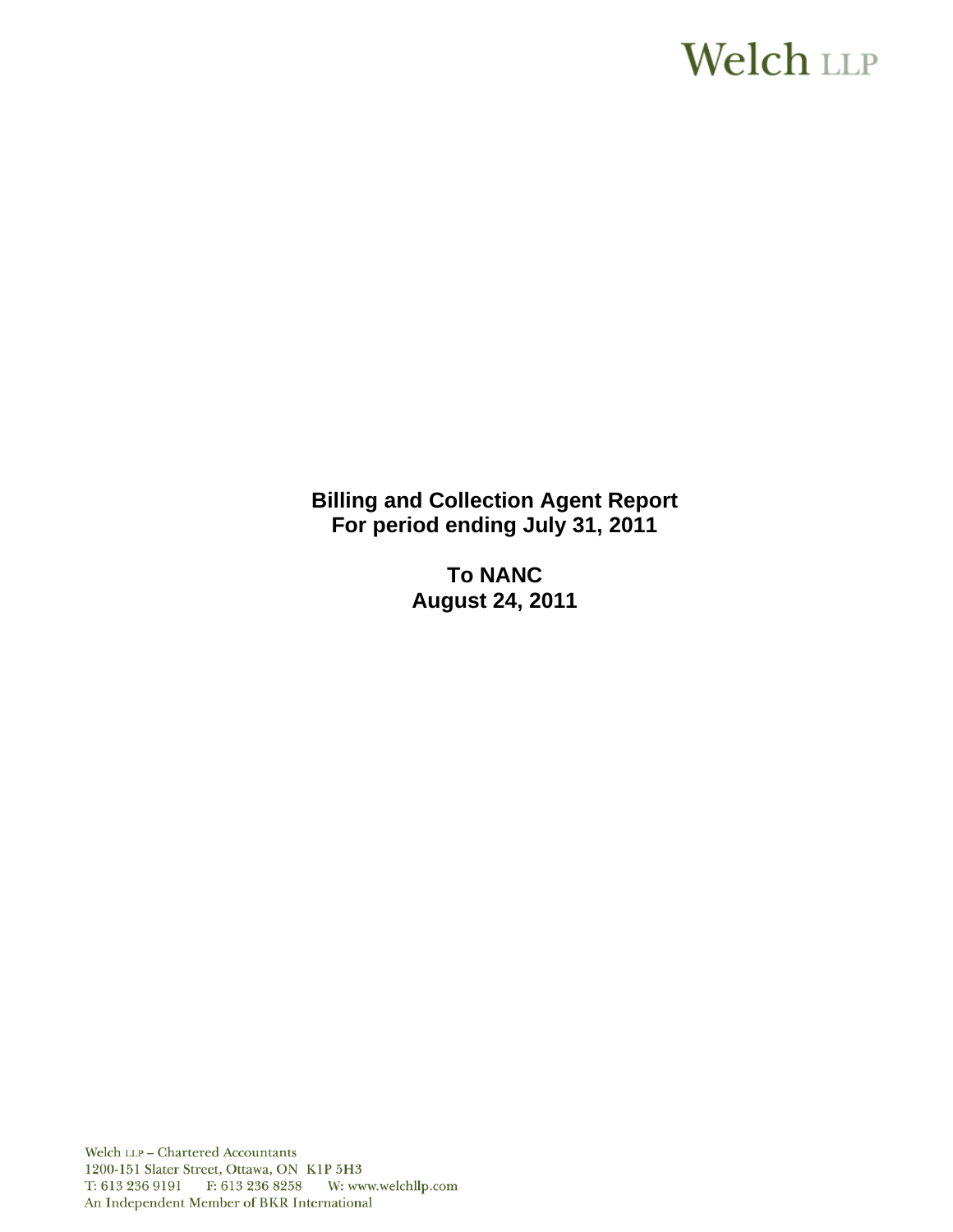# **Welch LLP**

**Billing and Collection Agent Report For period ending July 31, 2011** 

> **To NANC August 24, 2011**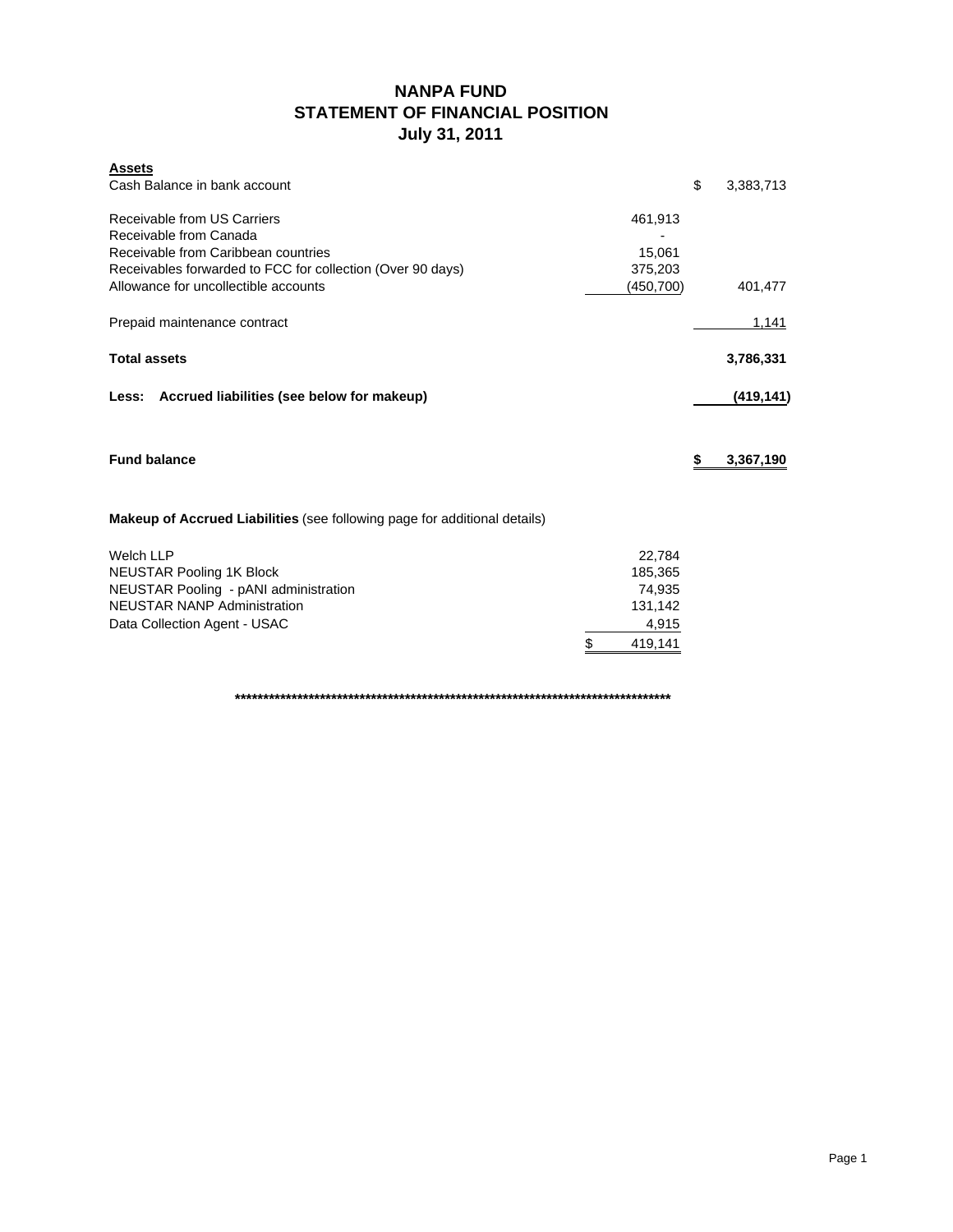# **NANPA FUND STATEMENT OF FINANCIAL POSITION July 31, 2011**

| <b>Assets</b><br>Cash Balance in bank account                               |                  | \$<br>3,383,713 |
|-----------------------------------------------------------------------------|------------------|-----------------|
| Receivable from US Carriers                                                 | 461,913          |                 |
| Receivable from Canada<br>Receivable from Caribbean countries               | 15,061           |                 |
| Receivables forwarded to FCC for collection (Over 90 days)                  | 375,203          |                 |
| Allowance for uncollectible accounts                                        | (450, 700)       | 401,477         |
| Prepaid maintenance contract                                                |                  | 1,141           |
| <b>Total assets</b>                                                         |                  | 3,786,331       |
| Less: Accrued liabilities (see below for makeup)                            |                  | (419, 141)      |
| <b>Fund balance</b>                                                         |                  | \$<br>3,367,190 |
| Makeup of Accrued Liabilities (see following page for additional details)   |                  |                 |
| Welch LLP                                                                   | 22,784           |                 |
| <b>NEUSTAR Pooling 1K Block</b>                                             | 185,365          |                 |
| NEUSTAR Pooling - pANI administration<br><b>NEUSTAR NANP Administration</b> | 74,935           |                 |
| Data Collection Agent - USAC                                                | 131,142<br>4,915 |                 |
|                                                                             | \$<br>419,141    |                 |

**\*\*\*\*\*\*\*\*\*\*\*\*\*\*\*\*\*\*\*\*\*\*\*\*\*\*\*\*\*\*\*\*\*\*\*\*\*\*\*\*\*\*\*\*\*\*\*\*\*\*\*\*\*\*\*\*\*\*\*\*\*\*\*\*\*\*\*\*\*\*\*\*\*\*\*\*\***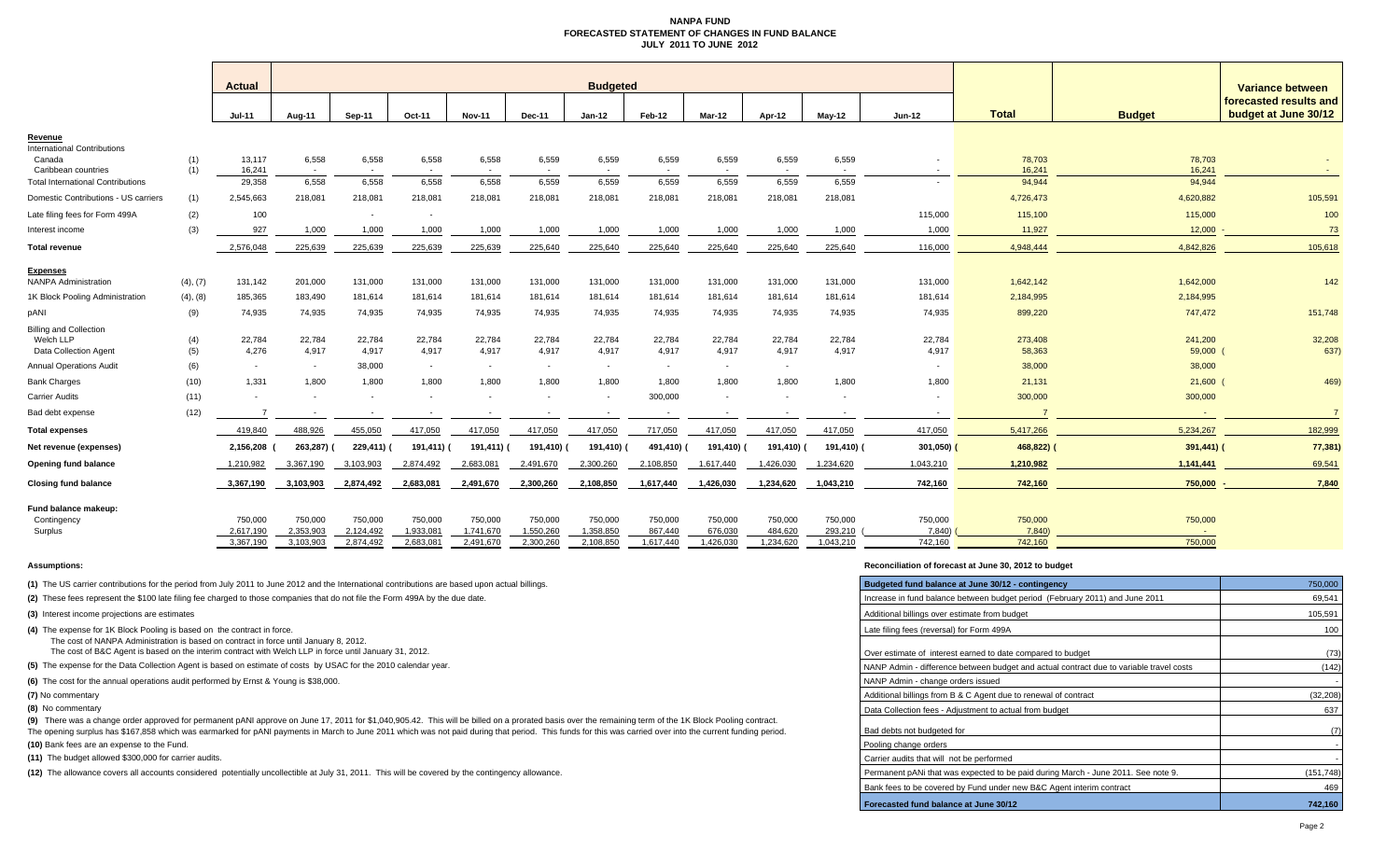#### **NANPA FUND FORECASTED STATEMENT OF CHANGES IN FUND BALANCEJULY 2011 TO JUNE 2012**

|                                                                     |            | Actual                   |                        | <b>Budgeted</b>        |                        |                        |                          |                          |                      |                          |                      |                          |                   |                   | Variance between  |                                                |
|---------------------------------------------------------------------|------------|--------------------------|------------------------|------------------------|------------------------|------------------------|--------------------------|--------------------------|----------------------|--------------------------|----------------------|--------------------------|-------------------|-------------------|-------------------|------------------------------------------------|
|                                                                     |            | $Jul-11$                 | Aug-11                 | Sep-11                 | Oct-11                 | <b>Nov-11</b>          | <b>Dec-11</b>            | $Jan-12$                 | Feb-12               | Mar-12                   | Apr-12               | $Mav-12$                 | $Jun-12$          | <b>Total</b>      | <b>Budget</b>     | forecasted results and<br>budget at June 30/12 |
| <u>Revenue</u>                                                      |            |                          |                        |                        |                        |                        |                          |                          |                      |                          |                      |                          |                   |                   |                   |                                                |
| <b>International Contributions</b><br>Canada<br>Caribbean countries | (1)<br>(1) | 13,117<br>16,241         | 6,558<br>$\sim$        | 6,558                  | 6,558                  | 6,558                  | 6,559                    | 6,559                    | 6,559                | 6,559                    | 6,559                | 6,559                    |                   | 78,703<br>16,241  | 78,703<br>16,241  |                                                |
| <b>Total International Contributions</b>                            |            | 29,358                   | 6,558                  | 6.558                  | 6,558                  | 6,558                  | 6,559                    | 6,559                    | 6,559                | 6,559                    | 6,559                | 6,559                    |                   | 94,944            | 94,944            |                                                |
| Domestic Contributions - US carriers                                | (1)        | 2,545,663                | 218,081                | 218,081                | 218,081                | 218,081                | 218,081                  | 218,081                  | 218,081              | 218,081                  | 218,081              | 218,081                  |                   | 4,726,473         | 4,620,882         | 105,591                                        |
| Late filing fees for Form 499A                                      | (2)        | 100                      |                        | $\sim$                 |                        |                        |                          |                          |                      |                          |                      |                          | 115,000           | 115,100           | 115,000           | 100                                            |
| Interest income                                                     | (3)        | 927                      | 1,000                  | 1,000                  | 1,000                  | 1,000                  | 1,000                    | 1,000                    | 1,000                | 1,000                    | 1,000                | 1,000                    | 1,000             | 11,927            | 12,000            | 73                                             |
| <b>Total revenue</b>                                                |            | 2,576,048                | 225,639                | 225,639                | 225,639                | 225,639                | 225,640                  | 225,640                  | 225,640              | 225,640                  | 225,640              | 225,640                  | 116,000           | 4,948,444         | 4,842,826         | 105,618                                        |
| <b>Expenses</b>                                                     |            |                          |                        |                        |                        |                        |                          |                          |                      |                          |                      |                          |                   |                   |                   |                                                |
| <b>NANPA Administration</b>                                         | (4), (7)   | 131,142                  | 201,000                | 131,000                | 131,000                | 131,000                | 131,000                  | 131,000                  | 131,000              | 131,000                  | 131,000              | 131,000                  | 131,000           | 1,642,142         | 1,642,000         | 142                                            |
| 1K Block Pooling Administration                                     | (4), (8)   | 185,365                  | 183,490                | 181,614                | 181,614                | 181,614                | 181,614                  | 181,614                  | 181,614              | 181,614                  | 181,614              | 181,614                  | 181,614           | 2,184,995         | 2,184,995         |                                                |
| pANI                                                                | (9)        | 74,935                   | 74,935                 | 74,935                 | 74,935                 | 74,935                 | 74,935                   | 74,935                   | 74,935               | 74,935                   | 74,935               | 74,935                   | 74,935            | 899,220           | 747,472           | 151,748                                        |
| <b>Billing and Collection</b>                                       |            |                          |                        |                        |                        |                        |                          |                          |                      |                          |                      |                          |                   |                   |                   |                                                |
| Welch LLP<br><b>Data Collection Agent</b>                           | (4)<br>(5) | 22,784<br>4,276          | 22,784<br>4,917        | 22,784<br>4,917        | 22,784<br>4,917        | 22,784<br>4,917        | 22,784<br>4,917          | 22,784<br>4,917          | 22,784<br>4,917      | 22,784<br>4,917          | 22,784<br>4,917      | 22,784<br>4,917          | 22,784<br>4,917   | 273,408<br>58,363 | 241,200<br>59,000 | 32,208<br>637)                                 |
| <b>Annual Operations Audit</b>                                      | (6)        | $\overline{\phantom{a}}$ | $\sim$                 | 38,000                 | $\sim$                 | $\sim$                 | $\overline{\phantom{a}}$ | $\sim$                   | $\sim$               | $\sim$                   | $\sim$               |                          |                   | 38,000            | 38,000            |                                                |
| <b>Bank Charges</b>                                                 | (10)       | 1,331                    | 1,800                  | 1,800                  | 1,800                  | 1,800                  | 1,800                    | 1,800                    | 1,800                | 1,800                    | 1,800                | 1,800                    | 1,800             | 21,131            | 21,600            | 469)                                           |
| Carrier Audits                                                      | (11)       |                          |                        |                        |                        |                        |                          | $\overline{\phantom{a}}$ | 300,000              | $\overline{\phantom{a}}$ |                      | $\overline{\phantom{a}}$ |                   | 300,000           | 300,000           |                                                |
| Bad debt expense                                                    | (12)       |                          |                        |                        |                        |                        |                          |                          |                      |                          |                      |                          |                   |                   |                   |                                                |
| <b>Total expenses</b>                                               |            | 419,840                  | 488,926                | 455,050                | 417,050                | 417,050                | 417,050                  | 417,050                  | 717,050              | 417,050                  | 417,050              | 417,050                  | 417,050           | 5,417,266         | 5,234,267         | 182,999                                        |
| Net revenue (expenses)                                              |            | 2,156,208                | 263,287) (             | 229,411) (             | 191,411)               | 191,411) (             | 191,410) (               | 191,410) (               | 491,410)             | 191,410) (               | 191,410) (           | 191,410) (               | $301,050$ )       | 468,822)          | $391,441$ ) (     | 77,381)                                        |
| Opening fund balance                                                |            | 1,210,982                | 3,367,190              | 3,103,903              | 2,874,492              | 2,683,081              | 2,491,670                | 2,300,260                | 2,108,850            | 1,617,440                | 1,426,030            | 1,234,620                | 1,043,210         | 1,210,982         | 1,141,441         | 69,541                                         |
| <b>Closing fund balance</b>                                         |            | 3,367,190                | 3,103,903              | 2,874,492              | 2,683,081              | 2,491,670              | 2,300,260                | 2,108,850                | 1,617,440            | 1,426,030                | 1,234,620            | 1,043,210                | 742,160           | 742,160           | 750,000           | 7,840                                          |
| Fund balance makeup:                                                |            |                          |                        |                        |                        |                        |                          |                          |                      |                          |                      |                          |                   |                   |                   |                                                |
| Contingency                                                         |            | 750,000                  | 750,000                | 750,000                | 750,000                | 750,000                | 750,000                  | 750,000                  | 750,000              | 750,000                  | 750,000              | 750,000                  | 750,000           | 750,000           | 750,000           |                                                |
| Surplus                                                             |            | 2,617,190<br>3,367,190   | 2,353,903<br>3,103,903 | 2,124,492<br>2,874,492 | 1,933,081<br>2,683,081 | 1,741,670<br>2,491,670 | 1,550,260<br>2,300,260   | 1,358,850<br>2,108,850   | 867,440<br>1,617,440 | 676,030<br>1,426,030     | 484,620<br>1,234,620 | 293,210<br>1,043,210     | 7,840)<br>742,160 | 7,840<br>742,160  | 750,000           |                                                |
|                                                                     |            |                          |                        |                        |                        |                        |                          |                          |                      |                          |                      |                          |                   |                   |                   |                                                |

#### **Assumptions: Reconciliation of forecast at June 30, 2012 to budget**

| (1) The US carrier contributions for the period from July 2011 to June 2012 and the International contributions are based upon actual billings.                                                                                                                                                                                                                                                                       | Budgeted fund balance at June 30/12 - contingency                                       | 750,000    |
|-----------------------------------------------------------------------------------------------------------------------------------------------------------------------------------------------------------------------------------------------------------------------------------------------------------------------------------------------------------------------------------------------------------------------|-----------------------------------------------------------------------------------------|------------|
| (2) These fees represent the \$100 late filing fee charged to those companies that do not file the Form 499A by the due date.                                                                                                                                                                                                                                                                                         | Increase in fund balance between budget period (February 2011) and June 2011            | 69,541     |
| (3) Interest income projections are estimates                                                                                                                                                                                                                                                                                                                                                                         | Additional billings over estimate from budget                                           | 105,591    |
| (4) The expense for 1K Block Pooling is based on the contract in force.<br>The cost of NANPA Administration is based on contract in force until January 8, 2012.                                                                                                                                                                                                                                                      | Late filing fees (reversal) for Form 499A                                               | 100        |
| The cost of B&C Agent is based on the interim contract with Welch LLP in force until January 31, 2012.                                                                                                                                                                                                                                                                                                                | Over estimate of interest earned to date compared to budget                             | (73)       |
| (5) The expense for the Data Collection Agent is based on estimate of costs by USAC for the 2010 calendar year.                                                                                                                                                                                                                                                                                                       | NANP Admin - difference between budget and actual contract due to variable travel costs | (142)      |
| (6) The cost for the annual operations audit performed by Ernst & Young is \$38,000.                                                                                                                                                                                                                                                                                                                                  | NANP Admin - change orders issued                                                       |            |
| (7) No commentary                                                                                                                                                                                                                                                                                                                                                                                                     | Additional billings from B & C Agent due to renewal of contract                         | (32, 208)  |
| (8) No commentary                                                                                                                                                                                                                                                                                                                                                                                                     | Data Collection fees - Adiustment to actual from budget                                 | 637        |
| (9) There was a change order approved for permanent pANI approve on June 17, 2011 for \$1,040,905.42. This will be billed on a prorated basis over the remaining term of the 1K Block Pooling contract.<br>The opening surplus has \$167,858 which was earmarked for pANI payments in March to June 2011 which was not paid during that period. This funds for this was carried over into the current funding period. | Bad debts not budgeted for                                                              |            |
| (10) Bank fees are an expense to the Fund.                                                                                                                                                                                                                                                                                                                                                                            | Pooling change orders                                                                   |            |
| (11) The budget allowed \$300,000 for carrier audits.                                                                                                                                                                                                                                                                                                                                                                 | Carrier audits that will not be performed                                               |            |
| (12) The allowance covers all accounts considered potentially uncollectible at July 31, 2011. This will be covered by the contingency allowance.                                                                                                                                                                                                                                                                      | Permanent pANi that was expected to be paid during March - June 2011. See note 9.       | (151, 748) |
|                                                                                                                                                                                                                                                                                                                                                                                                                       | Bank fees to be covered by Fund under new B&C Agent interim contract                    | 469        |
|                                                                                                                                                                                                                                                                                                                                                                                                                       | Forecasted fund balance at June 30/12                                                   | 742,160    |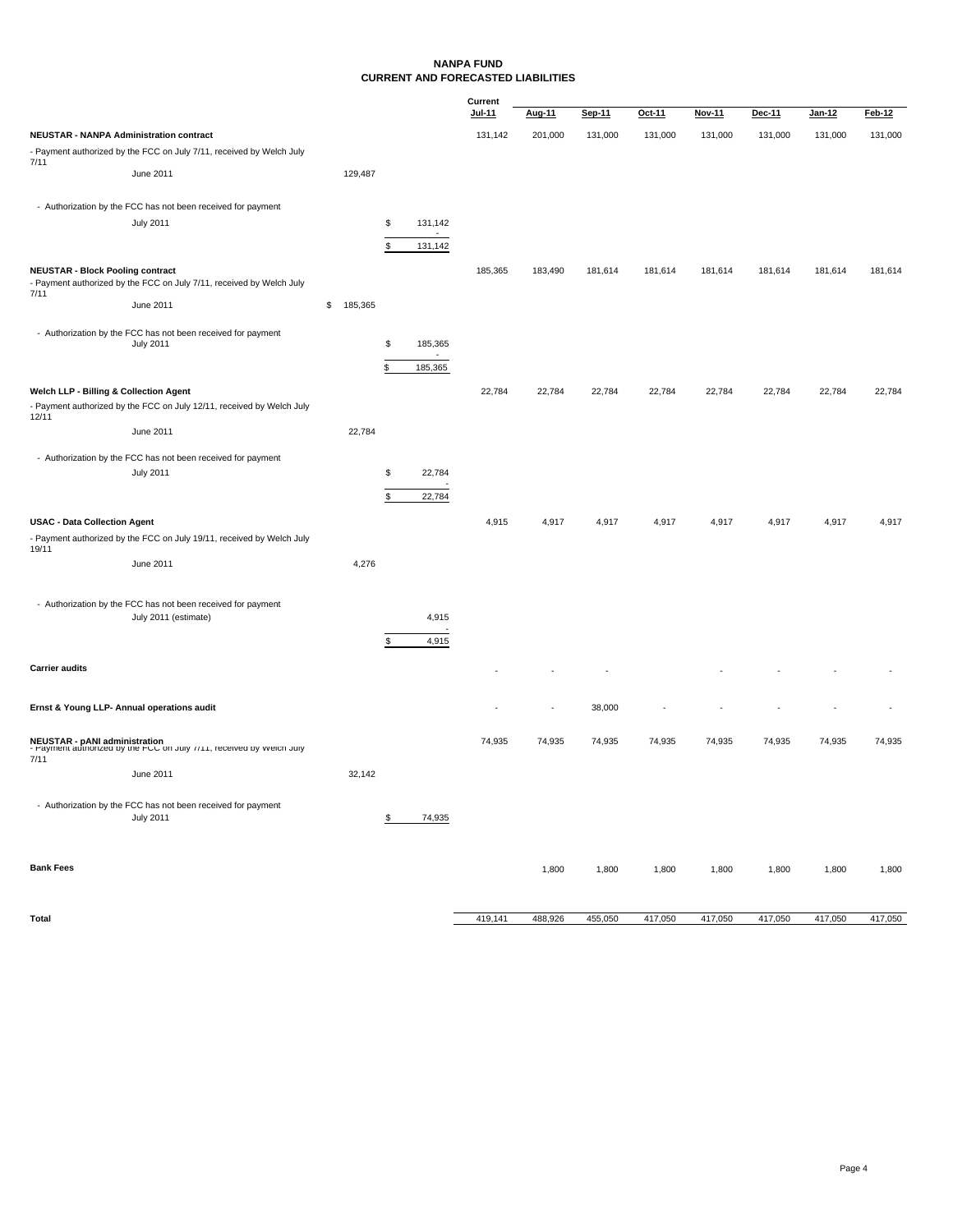#### **NANPA FUND CURRENT AND FORECASTED LIABILITIES**

|                                                |                                                                                                       |               |                |         | Current |         |         |         |         |         |         |         |
|------------------------------------------------|-------------------------------------------------------------------------------------------------------|---------------|----------------|---------|---------|---------|---------|---------|---------|---------|---------|---------|
|                                                |                                                                                                       |               |                |         | Jul-11  | Aug-11  | Sep-11  | Oct-11  | Nov-11  | Dec-11  | Jan-12  | Feb-12  |
| <b>NEUSTAR - NANPA Administration contract</b> |                                                                                                       |               |                |         | 131,142 | 201,000 | 131,000 | 131,000 | 131,000 | 131,000 | 131,000 | 131,000 |
|                                                | - Payment authorized by the FCC on July 7/11, received by Welch July                                  |               |                |         |         |         |         |         |         |         |         |         |
| 7/11                                           | June 2011                                                                                             | 129,487       |                |         |         |         |         |         |         |         |         |         |
|                                                |                                                                                                       |               |                |         |         |         |         |         |         |         |         |         |
|                                                | - Authorization by the FCC has not been received for payment                                          |               |                |         |         |         |         |         |         |         |         |         |
|                                                | <b>July 2011</b>                                                                                      |               | \$             | 131,142 |         |         |         |         |         |         |         |         |
|                                                |                                                                                                       |               | \$             | 131,142 |         |         |         |         |         |         |         |         |
| <b>NEUSTAR - Block Pooling contract</b>        | - Payment authorized by the FCC on July 7/11, received by Welch July                                  |               |                |         | 185,365 | 183,490 | 181,614 | 181,614 | 181,614 | 181,614 | 181,614 | 181,614 |
| 7/11                                           | June 2011                                                                                             | \$<br>185,365 |                |         |         |         |         |         |         |         |         |         |
|                                                |                                                                                                       |               |                |         |         |         |         |         |         |         |         |         |
|                                                | - Authorization by the FCC has not been received for payment                                          |               | \$             |         |         |         |         |         |         |         |         |         |
|                                                | <b>July 2011</b>                                                                                      |               |                | 185,365 |         |         |         |         |         |         |         |         |
|                                                |                                                                                                       |               | \$             | 185,365 |         |         |         |         |         |         |         |         |
| Welch LLP - Billing & Collection Agent         |                                                                                                       |               |                |         | 22,784  | 22,784  | 22,784  | 22,784  | 22,784  | 22,784  | 22,784  | 22,784  |
| 12/11                                          | - Payment authorized by the FCC on July 12/11, received by Welch July                                 |               |                |         |         |         |         |         |         |         |         |         |
|                                                | June 2011                                                                                             | 22,784        |                |         |         |         |         |         |         |         |         |         |
|                                                |                                                                                                       |               |                |         |         |         |         |         |         |         |         |         |
|                                                | - Authorization by the FCC has not been received for payment<br><b>July 2011</b>                      |               | \$             | 22,784  |         |         |         |         |         |         |         |         |
|                                                |                                                                                                       |               |                |         |         |         |         |         |         |         |         |         |
|                                                |                                                                                                       |               | $$\mathbb{S}$$ | 22,784  |         |         |         |         |         |         |         |         |
| <b>USAC - Data Collection Agent</b>            |                                                                                                       |               |                |         | 4,915   | 4,917   | 4,917   | 4,917   | 4,917   | 4,917   | 4,917   | 4,917   |
|                                                | - Payment authorized by the FCC on July 19/11, received by Welch July                                 |               |                |         |         |         |         |         |         |         |         |         |
| 19/11                                          | June 2011                                                                                             | 4,276         |                |         |         |         |         |         |         |         |         |         |
|                                                |                                                                                                       |               |                |         |         |         |         |         |         |         |         |         |
|                                                |                                                                                                       |               |                |         |         |         |         |         |         |         |         |         |
|                                                | - Authorization by the FCC has not been received for payment<br>July 2011 (estimate)                  |               |                | 4,915   |         |         |         |         |         |         |         |         |
|                                                |                                                                                                       |               |                |         |         |         |         |         |         |         |         |         |
|                                                |                                                                                                       |               | S              | 4,915   |         |         |         |         |         |         |         |         |
| <b>Carrier audits</b>                          |                                                                                                       |               |                |         |         |         |         |         |         |         |         |         |
|                                                |                                                                                                       |               |                |         |         |         |         |         |         |         |         |         |
|                                                | Ernst & Young LLP- Annual operations audit                                                            |               |                |         |         | ÷,      | 38,000  |         |         |         |         |         |
|                                                |                                                                                                       |               |                |         |         |         |         |         |         |         |         |         |
|                                                | NEUSTAR - pANI administration<br>- Payment authorized by the FCC on July //11, received by welch July |               |                |         | 74,935  | 74,935  | 74,935  | 74,935  | 74,935  | 74,935  | 74,935  | 74,935  |
| 7/11                                           |                                                                                                       |               |                |         |         |         |         |         |         |         |         |         |
|                                                | June 2011                                                                                             | 32,142        |                |         |         |         |         |         |         |         |         |         |
|                                                |                                                                                                       |               |                |         |         |         |         |         |         |         |         |         |
|                                                | - Authorization by the FCC has not been received for payment<br><b>July 2011</b>                      |               | \$             | 74,935  |         |         |         |         |         |         |         |         |
|                                                |                                                                                                       |               |                |         |         |         |         |         |         |         |         |         |
|                                                |                                                                                                       |               |                |         |         |         |         |         |         |         |         |         |
| <b>Bank Fees</b>                               |                                                                                                       |               |                |         |         | 1,800   | 1,800   | 1,800   | 1,800   | 1,800   | 1,800   | 1,800   |
|                                                |                                                                                                       |               |                |         |         |         |         |         |         |         |         |         |
|                                                |                                                                                                       |               |                |         |         |         |         |         |         |         |         |         |

**Total** 488,926 455,050 417,050 417,050 417,050 417,050 417,050 417,050 417,050 417,050 417,050 417,050 417,050